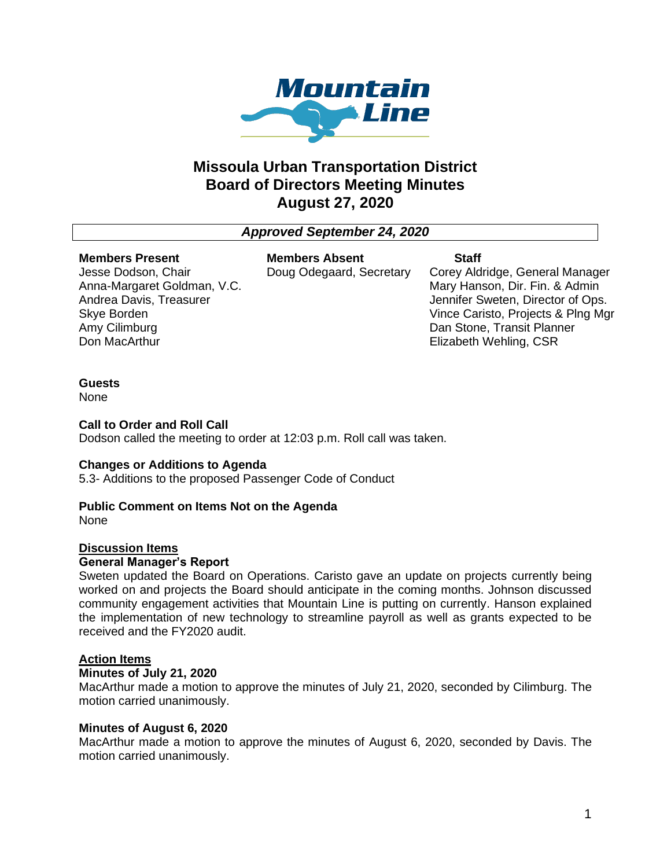

# **Missoula Urban Transportation District Board of Directors Meeting Minutes August 27, 2020**

# *Approved September 24, 2020*

#### **Members Present**

Jesse Dodson, Chair Anna-Margaret Goldman, V.C. Andrea Davis, Treasurer Skye Borden Amy Cilimburg Don MacArthur

**Members Absent** Doug Odegaard, Secretary **Staff**

Corey Aldridge, General Manager Mary Hanson, Dir. Fin. & Admin Jennifer Sweten, Director of Ops. Vince Caristo, Projects & Plng Mgr Dan Stone, Transit Planner Elizabeth Wehling, CSR

### **Guests**

None

### **Call to Order and Roll Call**

Dodson called the meeting to order at 12:03 p.m. Roll call was taken.

### **Changes or Additions to Agenda**

5.3- Additions to the proposed Passenger Code of Conduct

# **Public Comment on Items Not on the Agenda**

None

### **Discussion Items**

### **General Manager's Report**

Sweten updated the Board on Operations. Caristo gave an update on projects currently being worked on and projects the Board should anticipate in the coming months. Johnson discussed community engagement activities that Mountain Line is putting on currently. Hanson explained the implementation of new technology to streamline payroll as well as grants expected to be received and the FY2020 audit.

# **Action Items**

### **Minutes of July 21, 2020**

MacArthur made a motion to approve the minutes of July 21, 2020, seconded by Cilimburg. The motion carried unanimously.

# **Minutes of August 6, 2020**

MacArthur made a motion to approve the minutes of August 6, 2020, seconded by Davis. The motion carried unanimously.